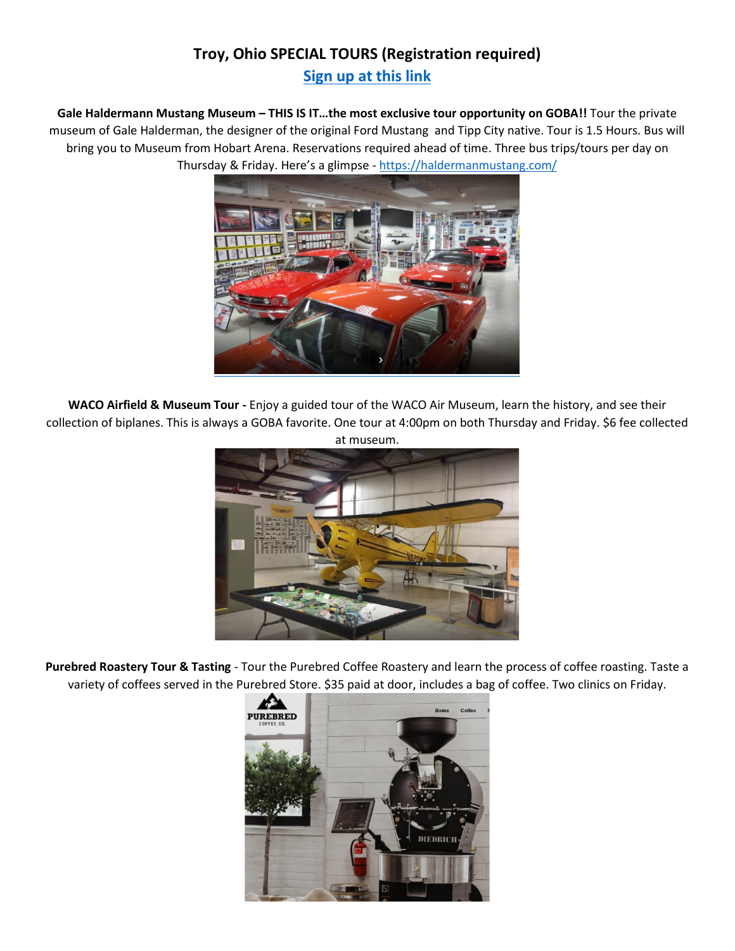## **Troy, Ohio SPECIAL TOURS (Registration required)**

**[Sign up at](https://www.signupgenius.com/go/10c0e4ca9ad22abf9c52-troy) this link**

**Gale Haldermann Mustang Museum – THIS IS IT…the most exclusive tour opportunity on GOBA!!** Tour the private museum of Gale Halderman, the designer of the original Ford Mustang and Tipp City native. Tour is 1.5 Hours. Bus will bring you to Museum from Hobart Arena. Reservations required ahead of time. Three bus trips/tours per day on Thursday & Friday. Here's a glimpse - <https://haldermanmustang.com/>



**WACO Airfield & Museum Tour -** Enjoy a guided tour of the WACO Air Museum, learn the history, and see their collection of biplanes. This is always a GOBA favorite. One tour at 4:00pm on both Thursday and Friday. \$6 fee collected at museum.



**Purebred Roastery Tour & Tasting** - Tour the Purebred Coffee Roastery and learn the process of coffee roasting. Taste a variety of coffees served in the Purebred Store. \$35 paid at door, includes a bag of coffee. Two clinics on Friday.